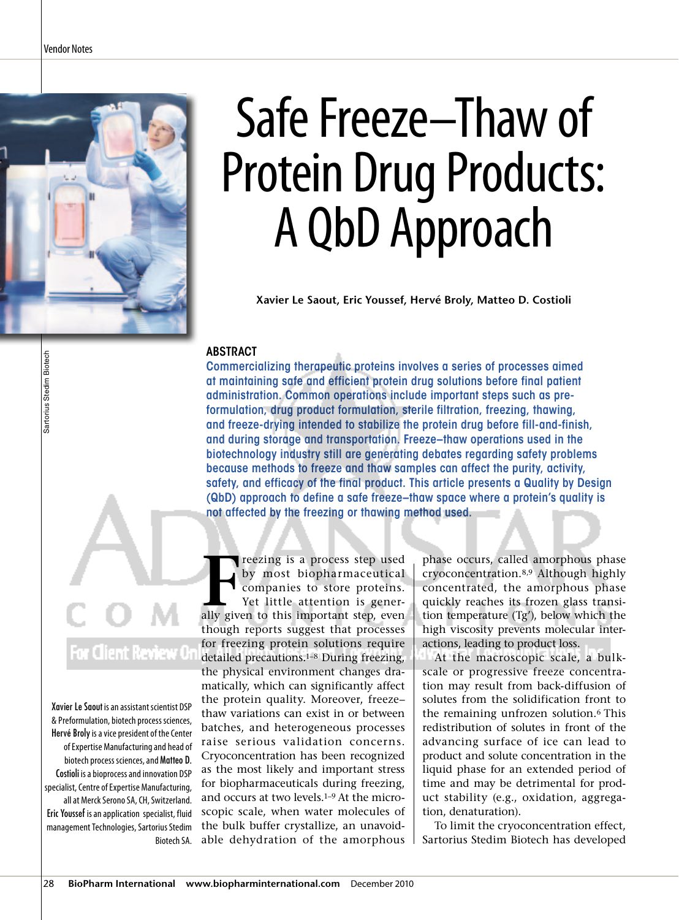

# Safe Freeze–Thaw of Protein Drug Products: A QbD Approach

**Xavier Le Saout, Eric Youssef, Hervé Broly, Matteo D. Costioli**

#### **ABSTRACT**

Commercializing therapeutic proteins involves a series of processes aimed at maintaining safe and efficient protein drug solutions before final patient administration. Common operations include important steps such as preformulation, drug product formulation, sterile filtration, freezing, thawing, and freeze-drying intended to stabilize the protein drug before fill-and-finish, and during storage and transportation. Freeze–thaw operations used in the biotechnology industry still are generating debates regarding safety problems because methods to freeze and thaw samples can affect the purity, activity, safety, and efficacy of the final product. This article presents a Quality by Design (QbD) approach to define a safe freeze–thaw space where a protein's quality is not affected by the freezing or thawing method used.

# ient Review Or

Xavier Le Saout is an assistant scientist DSP & Preformulation, biotech process sciences, Hervé Broly is a vice president of the Center of Expertise Manufacturing and head of biotech process sciences, and Matteo D. Costioli is a bioprocess and innovation DSP specialist, Centre of Expertise Manufacturing, all at Merck Serono SA, CH, Switzerland. Eric Youssef is an application specialist, fluid management Technologies, Sartorius Stedim Biotech SA.

**FERN FRUCHT STARK STARK STARK STARK STARK STARK STARK STARK STARK STARK STARK STARK STARK STARK STARK STARK STARK STARK STARK STARK STARK STARK STARK STARK STARK STARK STARK STARK STARK STARK STARK STARK STARK STARK STARK** reezing is a process step used by most biopharmaceutical companies to store proteins. Yet little attention is generthough reports suggest that processes for freezing protein solutions require detailed precautions.1–8 During freezing, the physical environment changes dramatically, which can significantly affect the protein quality. Moreover, freeze– thaw variations can exist in or between batches, and heterogeneous processes raise serious validation concerns. Cryoconcentration has been recognized as the most likely and important stress for biopharmaceuticals during freezing, and occurs at two levels.1–9 At the microscopic scale, when water molecules of the bulk buffer crystallize, an unavoidable dehydration of the amorphous

phase occurs, called amorphous phase cryoconcentration.8,9 Although highly concentrated, the amorphous phase quickly reaches its frozen glass transition temperature (Tg'), below which the high viscosity prevents molecular interactions, leading to product loss.

At the macroscopic scale, a bulkscale or progressive freeze concentration may result from back-diffusion of solutes from the solidification front to the remaining unfrozen solution.6 This redistribution of solutes in front of the advancing surface of ice can lead to product and solute concentration in the liquid phase for an extended period of time and may be detrimental for product stability (e.g., oxidation, aggregation, denaturation).

To limit the cryoconcentration effect, Sartorius Stedim Biotech has developed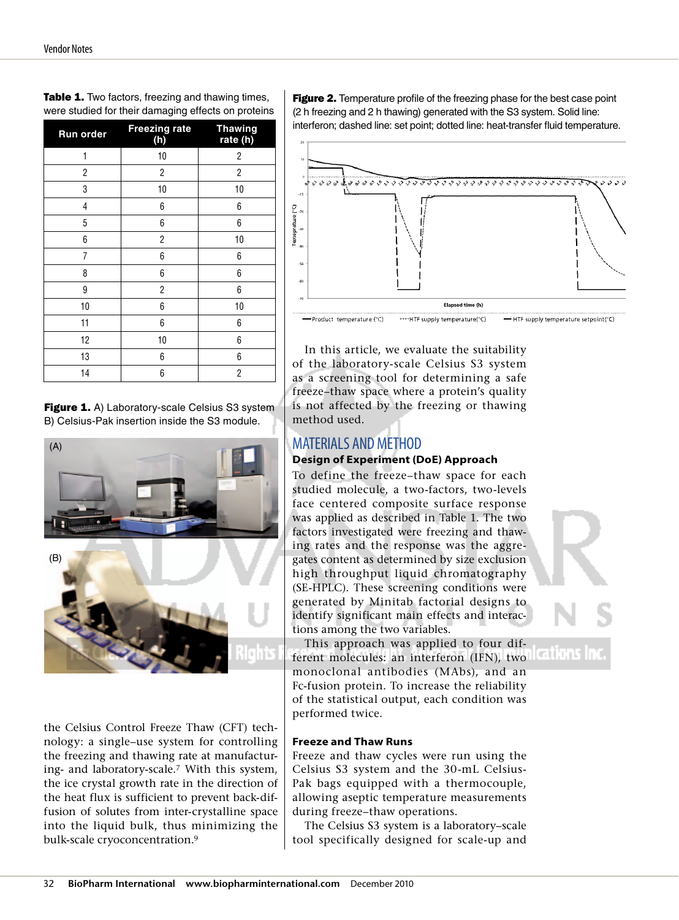| Run order | <b>Freezing rate</b><br>(h) | <b>Thawing</b><br>rate (h) |
|-----------|-----------------------------|----------------------------|
| 1         | 10                          | 2                          |
| 2         | 2                           | 2                          |
| 3         | 10                          | 10                         |
| 4         | 6                           | 6                          |
| 5         | 6                           | 6                          |
| 6         | 2                           | 10                         |
| 7         | 6                           | 6                          |
| 8         | 6                           | 6                          |
| 9         | 2                           | 6                          |
| 10        | 6                           | 10                         |
| 11        | 6                           | 6                          |
| 12        | 10                          | 6                          |
| 13        | 6                           | 6                          |
| 14        | 6                           | $\overline{2}$             |

Table 1. Two factors, freezing and thawing times, were studied for their damaging effects on proteins

Figure 1. A) Laboratory-scale Celsius S3 system B) Celsius-Pak insertion inside the S3 module.



the Celsius Control Freeze Thaw (CFT) technology: a single–use system for controlling the freezing and thawing rate at manufacturing- and laboratory-scale.7 With this system, the ice crystal growth rate in the direction of the heat flux is sufficient to prevent back-diffusion of solutes from inter-crystalline space into the liquid bulk, thus minimizing the bulk-scale cryoconcentration.9

**Figure 2.** Temperature profile of the freezing phase for the best case point (2 h freezing and 2 h thawing) generated with the S3 system. Solid line: interferon; dashed line: set point; dotted line: heat-transfer fluid temperature.



In this article, we evaluate the suitability of the laboratory-scale Celsius S3 system as a screening tool for determining a safe freeze–thaw space where a protein's quality is not affected by the freezing or thawing method used.

# MATERIALS AND METHOD

## **Design of Experiment (DoE) Approach**

To define the freeze–thaw space for each studied molecule, a two-factors, two-levels face centered composite surface response was applied as described in Table 1. The two factors investigated were freezing and thawing rates and the response was the aggregates content as determined by size exclusion high throughput liquid chromatography (SE-HPLC). These screening conditions were generated by Minitab factorial designs to identify significant main effects and interactions among the two variables.

This approach was applied to four different molecules: an interferon (IFN), two monoclonal antibodies (MAbs), and an Fc-fusion protein. To increase the reliability of the statistical output, each condition was performed twice.

### **Freeze and Thaw Runs**

Freeze and thaw cycles were run using the Celsius S3 system and the 30-mL Celsius-Pak bags equipped with a thermocouple, allowing aseptic temperature measurements during freeze–thaw operations.

The Celsius S3 system is a laboratory–scale tool specifically designed for scale-up and



m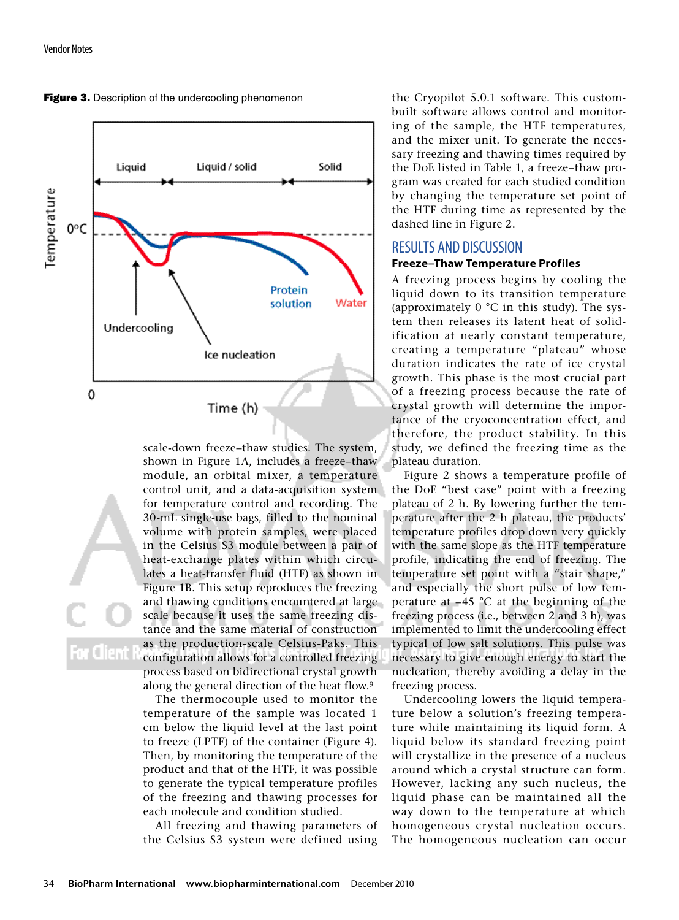

Figure 3. Description of the undercooling phenomenon

scale-down freeze–thaw studies. The system, shown in Figure 1A, includes a freeze–thaw module, an orbital mixer, a temperature control unit, and a data-acquisition system for temperature control and recording. The 30-mL single-use bags, filled to the nominal volume with protein samples, were placed in the Celsius S3 module between a pair of heat-exchange plates within which circulates a heat-transfer fluid (HTF) as shown in Figure 1B. This setup reproduces the freezing and thawing conditions encountered at large scale because it uses the same freezing distance and the same material of construction as the production-scale Celsius-Paks. This configuration allows for a controlled freezing process based on bidirectional crystal growth along the general direction of the heat flow.9

The thermocouple used to monitor the temperature of the sample was located 1 cm below the liquid level at the last point to freeze (LPTF) of the container (Figure 4). Then, by monitoring the temperature of the product and that of the HTF, it was possible to generate the typical temperature profiles of the freezing and thawing processes for each molecule and condition studied.

All freezing and thawing parameters of the Celsius S3 system were defined using

the Cryopilot 5.0.1 software. This custombuilt software allows control and monitoring of the sample, the HTF temperatures, and the mixer unit. To generate the necessary freezing and thawing times required by the DoE listed in Table 1, a freeze–thaw program was created for each studied condition by changing the temperature set point of the HTF during time as represented by the dashed line in Figure 2.

#### RESULTS AND DISCUSSION

#### **Freeze–Thaw Temperature Profiles**

A freezing process begins by cooling the liquid down to its transition temperature (approximately 0 °C in this study). The system then releases its latent heat of solidification at nearly constant temperature, creating a temperature "plateau" whose duration indicates the rate of ice crystal growth. This phase is the most crucial part of a freezing process because the rate of crystal growth will determine the importance of the cryoconcentration effect, and therefore, the product stability. In this study, we defined the freezing time as the plateau duration.

Figure 2 shows a temperature profile of the DoE "best case" point with a freezing plateau of 2 h. By lowering further the temperature after the 2 h plateau, the products' temperature profiles drop down very quickly with the same slope as the HTF temperature profile, indicating the end of freezing. The temperature set point with a "stair shape," and especially the short pulse of low temperature at  $-45$  °C at the beginning of the freezing process (i.e., between 2 and 3 h), was implemented to limit the undercooling effect typical of low salt solutions. This pulse was necessary to give enough energy to start the nucleation, thereby avoiding a delay in the freezing process.

Undercooling lowers the liquid temperature below a solution's freezing temperature while maintaining its liquid form. A liquid below its standard freezing point will crystallize in the presence of a nucleus around which a crystal structure can form. However, lacking any such nucleus, the liquid phase can be maintained all the way down to the temperature at which homogeneous crystal nucleation occurs. The homogeneous nucleation can occur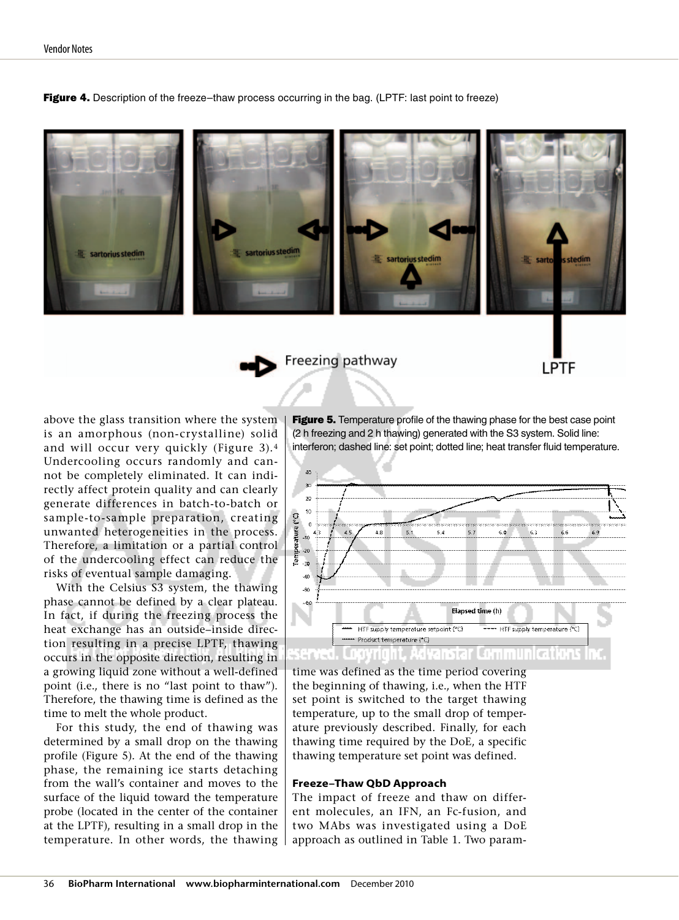sartorius stedim sartorius stedim

**Figure 4.** Description of the freeze–thaw process occurring in the bag. (LPTF: last point to freeze)

Freezing pathway

above the glass transition where the system is an amorphous (non-crystalline) solid and will occur very quickly (Figure 3).4 Undercooling occurs randomly and cannot be completely eliminated. It can indirectly affect protein quality and can clearly generate differences in batch-to-batch or sample-to-sample preparation, creating unwanted heterogeneities in the process. Therefore, a limitation or a partial control of the undercooling effect can reduce the risks of eventual sample damaging.

With the Celsius S3 system, the thawing phase cannot be defined by a clear plateau. In fact, if during the freezing process the heat exchange has an outside–inside direction resulting in a precise LPTF, thawing occurs in the opposite direction, resulting in a growing liquid zone without a well-defined point (i.e., there is no "last point to thaw"). Therefore, the thawing time is defined as the time to melt the whole product.

For this study, the end of thawing was determined by a small drop on the thawing profile (Figure 5). At the end of the thawing phase, the remaining ice starts detaching from the wall's container and moves to the surface of the liquid toward the temperature probe (located in the center of the container at the LPTF), resulting in a small drop in the temperature. In other words, the thawing Figure 5. Temperature profile of the thawing phase for the best case point (2 h freezing and 2 h thawing) generated with the S3 system. Solid line: interferon; dashed line: set point; dotted line; heat transfer fluid temperature.

LPTF



time was defined as the time period covering the beginning of thawing, i.e., when the HTF set point is switched to the target thawing temperature, up to the small drop of temperature previously described. Finally, for each thawing time required by the DoE, a specific thawing temperature set point was defined.

#### **Freeze–Thaw QbD Approach**

The impact of freeze and thaw on different molecules, an IFN, an Fc-fusion, and two MAbs was investigated using a DoE approach as outlined in Table 1. Two param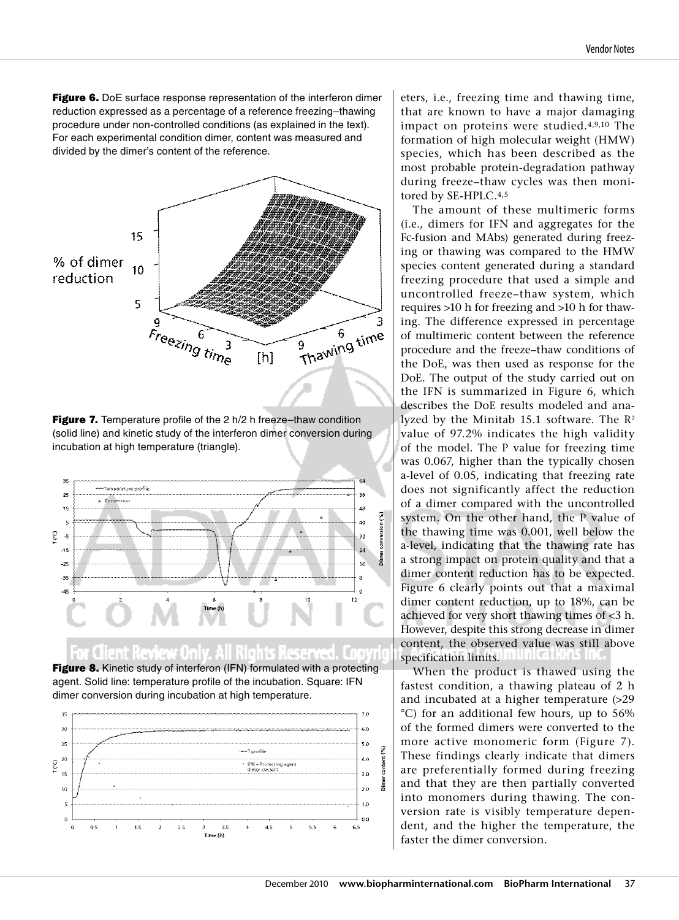Figure 6. DoE surface response representation of the interferon dimer reduction expressed as a percentage of a reference freezing–thawing procedure under non-controlled conditions (as explained in the text). For each experimental condition dimer, content was measured and divided by the dimer's content of the reference.







Figure 8. Kinetic study of interferon (IFN) formulated with a protecting agent. Solid line: temperature profile of the incubation. Square: IFN dimer conversion during incubation at high temperature.



eters, i.e., freezing time and thawing time, that are known to have a major damaging impact on proteins were studied.4,9,10 The formation of high molecular weight (HMW) species, which has been described as the most probable protein-degradation pathway during freeze–thaw cycles was then monitored by SE-HPLC.4,5

The amount of these multimeric forms (i.e., dimers for IFN and aggregates for the Fc-fusion and MAbs) generated during freezing or thawing was compared to the HMW species content generated during a standard freezing procedure that used a simple and uncontrolled freeze–thaw system, which requires >10 h for freezing and >10 h for thawing. The difference expressed in percentage of multimeric content between the reference procedure and the freeze–thaw conditions of the DoE, was then used as response for the DoE. The output of the study carried out on the IFN is summarized in Figure 6, which describes the DoE results modeled and analyzed by the Minitab 15.1 software. The  $R^2$ value of 97.2% indicates the high validity of the model. The P value for freezing time was 0.067, higher than the typically chosen a-level of 0.05, indicating that freezing rate does not significantly affect the reduction of a dimer compared with the uncontrolled system. On the other hand, the P value of the thawing time was 0.001, well below the a-level, indicating that the thawing rate has a strong impact on protein quality and that a dimer content reduction has to be expected. Figure 6 clearly points out that a maximal dimer content reduction, up to 18%, can be achieved for very short thawing times of <3 h. However, despite this strong decrease in dimer content, the observed value was still above specification limits.

When the product is thawed using the fastest condition, a thawing plateau of 2 h and incubated at a higher temperature (>29 °C) for an additional few hours, up to 56% of the formed dimers were converted to the more active monomeric form (Figure 7). These findings clearly indicate that dimers are preferentially formed during freezing and that they are then partially converted into monomers during thawing. The conversion rate is visibly temperature dependent, and the higher the temperature, the faster the dimer conversion.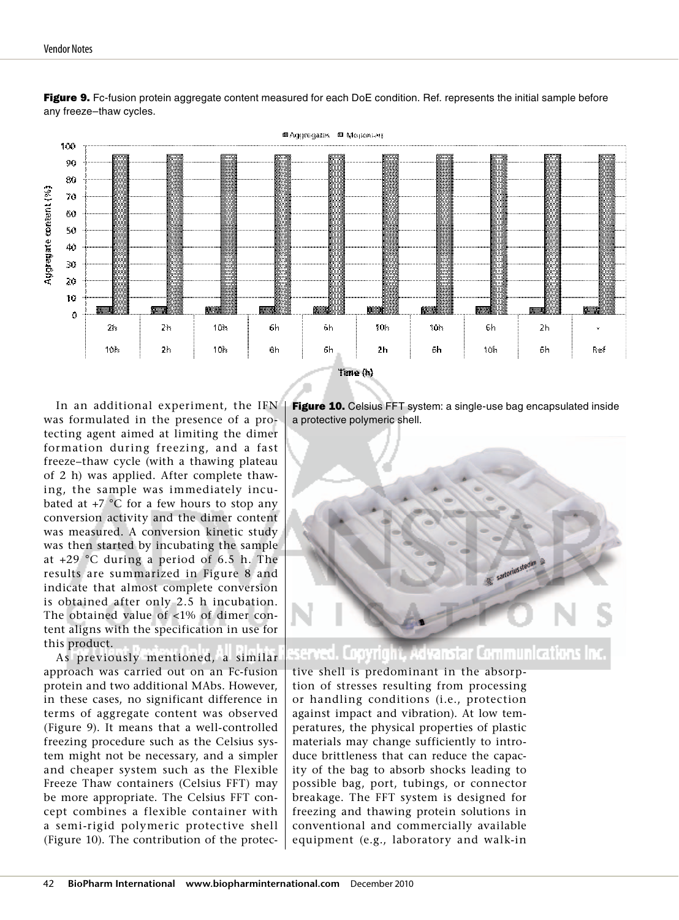

Figure 9. Fc-fusion protein aggregate content measured for each DoE condition. Ref. represents the initial sample before any freeze–thaw cycles.

In an additional experiment, the IFN was formulated in the presence of a protecting agent aimed at limiting the dimer formation during freezing, and a fast freeze–thaw cycle (with a thawing plateau of 2 h) was applied. After complete thawing, the sample was immediately incubated at  $+7$  °C for a few hours to stop any conversion activity and the dimer content was measured. A conversion kinetic study was then started by incubating the sample at +29 °C during a period of 6.5 h. The results are summarized in Figure 8 and indicate that almost complete conversion is obtained after only 2.5 h incubation. The obtained value of <1% of dimer content aligns with the specification in use for this product.

As previously mentioned, a similar approach was carried out on an Fc-fusion protein and two additional MAbs. However, in these cases, no significant difference in terms of aggregate content was observed (Figure 9). It means that a well-controlled freezing procedure such as the Celsius system might not be necessary, and a simpler and cheaper system such as the Flexible Freeze Thaw containers (Celsius FFT) may be more appropriate. The Celsius FFT concept combines a flexible container with a semi-rigid polymeric protective shell (Figure 10). The contribution of the protec-

Figure 10. Celsius FFT system: a single-use bag encapsulated inside a protective polymeric shell.



# dvanstar Communications

tive shell is predominant in the absorption of stresses resulting from processing or handling conditions (i.e., protection against impact and vibration). At low temperatures, the physical properties of plastic materials may change sufficiently to introduce brittleness that can reduce the capacity of the bag to absorb shocks leading to possible bag, port, tubings, or connector breakage. The FFT system is designed for freezing and thawing protein solutions in conventional and commercially available equipment (e.g., laboratory and walk-in